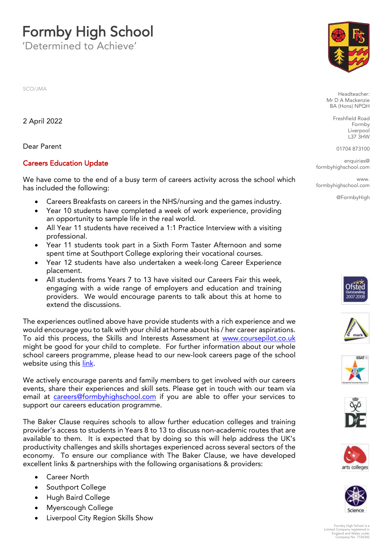## **Formby High School**<br>Determined to Achieve'

'Determined to Achieve'

SCO/JMA

2 April 2022

Dear Parent Dear Parent

## Careers Education Update

We have come to the end of a busy term of careers activity across the school which  $\frac{1}{2}$  has included the following: has included the following:

- Careers Breakfasts on careers in the NHS/nursing and the games industry.<br>• Year 10 students have completed a week of work experience providing
- Year 10 students have completed a week of work experience, providing<br>an opportunity to sample life in the real world.
- All Year 11 students have received a 1:1 Practice Interview with a visiting professional
- Year 11 students took part in a Sixth Form Taster Afternoon and some<br>spent time at Southport College exploring their vocational courses
- Year 12 students have also undertaken a week-long Career Experience<br>placement
- All students froms Years 7 to 13 have visited our Careers Fair this week, engaging with a wide range of employers and education and training engaging with a wide range of employers and education and training<br>providers. We would encourage parents to talk about this at home to extend the discussions. extend the discussions.

The experiences outlined above have provide students with a rich experience and we would encourage you to talk with your child at home about his / her career aspirations. To aid this process, the Skills and Interests Assessment at www.coursepilot.co.uk might be good for your child to complete. For further information about our whole school careers programme, please head to our new-look careers page of the school  $s$  is considered to our new look careers page of the school careers page of the school careers  $p$ we besite using the using the  $\frac{1}{\sqrt{2}}$ 

We actively encourage parents and family members to get involved with our careers events, share their experiences and skill sets. Please get in touch with our team via email at careers@formbyhighschool.com if you are able to offer your services to expressed at careers adjuction programme support our careers education programme.

The Baker Clause requires schools to allow further education colleges and training<br>provider's access to students in Years 8 to 13 to discuss non-academic routes that are available to them. It is expected that by doing so this will help address the UK's productivity challenges and skills shortages experienced across several sectors of the economy. To ensure our compliance with The Baker Clause, we have developed economy. The ensure our compliance with the camer cause, we have developed. excellent links & partnerships with the following organisations & providers:

- Career North<br>• Southport Co
- Southport College
- Hugh Baird College
- Myerscough College
- Liverpool City Region Skills Show



Headteacher:<br>Mr D A Mackenzie RA (Hons) NPOH  $\mathbf{A} \rightarrow \mathbf{B}$ 

> Freshfield Road Liverpool  $L37$   $3HW$

01704 873100

enquiries@<br>school.com formbyhighschool.com

 $M NANAN$ www.<br>I com formbyhighschool.com

@FormbyHigh













Formby High School is a Limited Company registered in England and Wales under Company No. 7724342